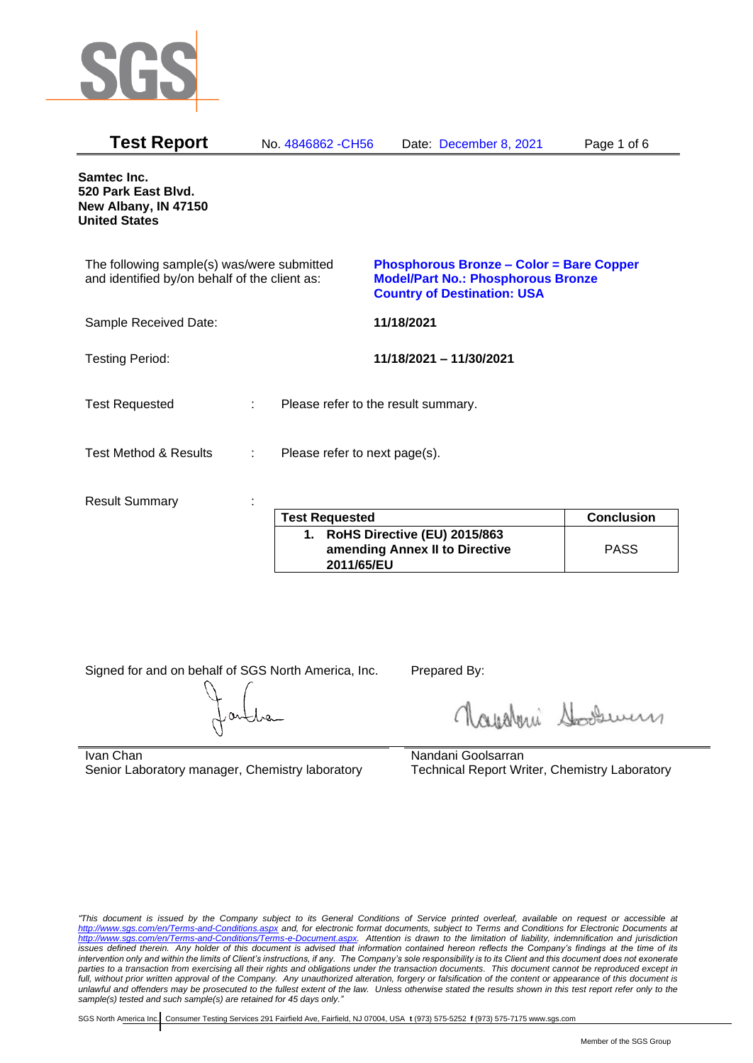

| <b>Test Report</b>                                                                          |   | No. 4846862 - CH56                  |            | Date: December 8, 2021                                                                                                             | Page 1 of 6       |
|---------------------------------------------------------------------------------------------|---|-------------------------------------|------------|------------------------------------------------------------------------------------------------------------------------------------|-------------------|
| Samtec Inc.<br>520 Park East Blvd.<br>New Albany, IN 47150<br><b>United States</b>          |   |                                     |            |                                                                                                                                    |                   |
| The following sample(s) was/were submitted<br>and identified by/on behalf of the client as: |   |                                     |            | <b>Phosphorous Bronze - Color = Bare Copper</b><br><b>Model/Part No.: Phosphorous Bronze</b><br><b>Country of Destination: USA</b> |                   |
| Sample Received Date:                                                                       |   |                                     | 11/18/2021 |                                                                                                                                    |                   |
| <b>Testing Period:</b>                                                                      |   |                                     |            | 11/18/2021 - 11/30/2021                                                                                                            |                   |
| <b>Test Requested</b>                                                                       |   | Please refer to the result summary. |            |                                                                                                                                    |                   |
| <b>Test Method &amp; Results</b>                                                            | ÷ | Please refer to next page(s).       |            |                                                                                                                                    |                   |
| <b>Result Summary</b>                                                                       |   | <b>Test Requested</b>               |            |                                                                                                                                    | <b>Conclusion</b> |
|                                                                                             |   |                                     |            |                                                                                                                                    |                   |

| <b>Test Requested</b>                                                                         | <b>Conclusion</b> |
|-----------------------------------------------------------------------------------------------|-------------------|
| RoHS Directive (EU) 2015/863<br>$\mathbf 1$ .<br>amending Annex II to Directive<br>2011/65/EU | <b>PASS</b>       |

Signed for and on behalf of SGS North America, Inc. Prepared By:

Navaleni Soomun

Ivan Chan Senior Laboratory manager, Chemistry laboratory Nandani Goolsarran Technical Report Writer, Chemistry Laboratory

*"This document is issued by the Company subject to its General Conditions of Service printed overleaf, available on request or accessible at <http://www.sgs.com/en/Terms-and-Conditions.aspx> and, for electronic format documents, subject to Terms and Conditions for Electronic Documents at [http://www.sgs.com/en/Terms-and-Conditions/Terms-e-Document.aspx.](http://www.sgs.com/en/Terms-and-Conditions/Terms-e-Document.aspx) Attention is drawn to the limitation of liability, indemnification and jurisdiction issues defined therein. Any holder of this document is advised that information contained hereon reflects the Company's findings at the time of its intervention only and within the limits of Client's instructions, if any. The Company's sole responsibility is to its Client and this document does not exonerate parties to a transaction from exercising all their rights and obligations under the transaction documents. This document cannot be reproduced except in*  full, without prior written approval of the Company. Any unauthorized alteration, forgery or falsification of the content or appearance of this document is *unlawful and offenders may be prosecuted to the fullest extent of the law. Unless otherwise stated the results shown in this test report refer only to the sample(s) tested and such sample(s) are retained for 45 days only."*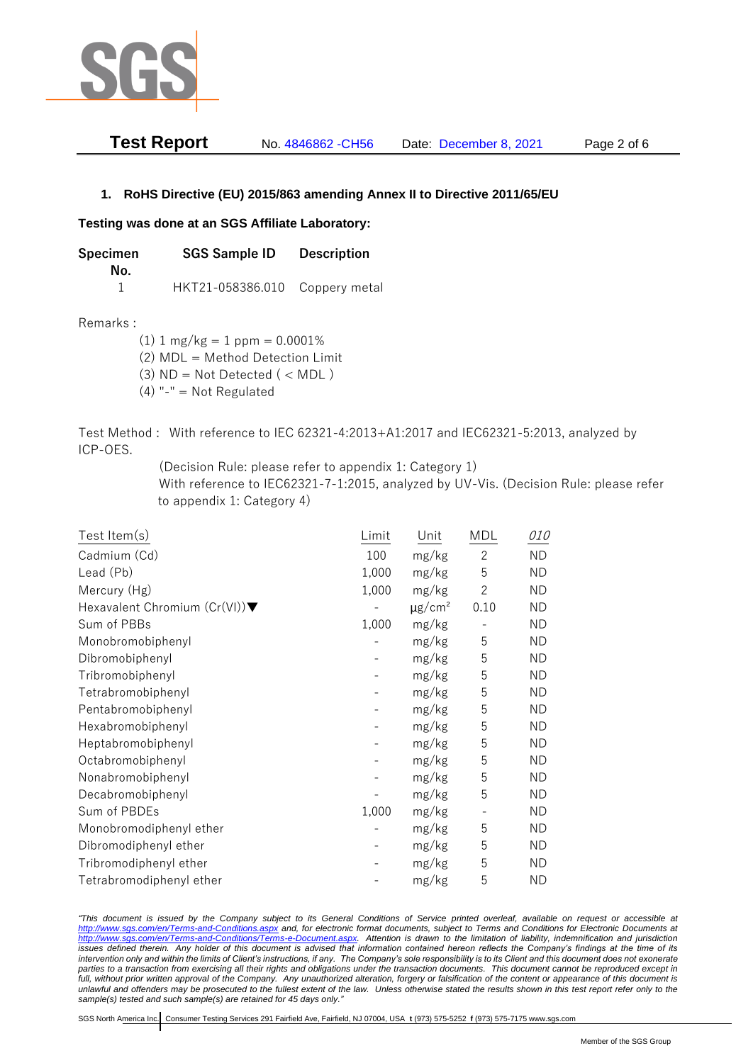

| <b>Test Report</b> | No. 4846862 - CH56 | Date: December 8, 2021 | Page 2 of 6 |
|--------------------|--------------------|------------------------|-------------|
|--------------------|--------------------|------------------------|-------------|

## **1. RoHS Directive (EU) 2015/863 amending Annex II to Directive 2011/65/EU**

## **Testing was done at an SGS Affiliate Laboratory:**

**Specimen SGS Sample ID Description No.** 1 HKT21-058386.010 Coppery metal

Remarks :

 $(1)$  1 mg/kg = 1 ppm = 0.0001% (2) MDL = Method Detection Limit

(3)  $ND = Not detected$  ( < MDL)

(4) "-" = Not Regulated

Test Method : With reference to IEC 62321-4:2013+A1:2017 and IEC62321-5:2013, analyzed by ICP-OES.

(Decision Rule: please refer to appendix 1: Category 1)

With reference to IEC62321-7-1:2015, analyzed by UV-Vis. (Decision Rule: please refer to appendix 1: Category 4)

| Test Item(s)                                     | Limit | Unit                    | MDL                      | <i>010</i> |
|--------------------------------------------------|-------|-------------------------|--------------------------|------------|
| Cadmium (Cd)                                     | 100   | mg/kg                   | $\overline{c}$           | <b>ND</b>  |
| Lead (Pb)                                        | 1,000 | mg/kg                   | 5                        | ND.        |
| Mercury (Hg)                                     | 1,000 | mg/kg                   | $\mathbf{2}$             | ND.        |
| Hexavalent Chromium $(Cr(VI))\blacktriangledown$ |       | $\mu$ g/cm <sup>2</sup> | 0.10                     | <b>ND</b>  |
| Sum of PBBs                                      | 1,000 | mg/kg                   | $\qquad \qquad -$        | <b>ND</b>  |
| Monobromobiphenyl                                |       | mg/kg                   | 5                        | <b>ND</b>  |
| Dibromobiphenyl                                  |       | mg/kg                   | 5                        | ND         |
| Tribromobiphenyl                                 |       | mg/kg                   | 5                        | <b>ND</b>  |
| Tetrabromobiphenyl                               |       | mg/kg                   | 5                        | <b>ND</b>  |
| Pentabromobiphenyl                               |       | mg/kg                   | 5                        | ND         |
| Hexabromobiphenyl                                |       | mg/kg                   | 5                        | <b>ND</b>  |
| Heptabromobiphenyl                               |       | mg/kg                   | 5                        | <b>ND</b>  |
| Octabromobiphenyl                                |       | mg/kg                   | 5                        | <b>ND</b>  |
| Nonabromobiphenyl                                |       | mg/kg                   | 5                        | <b>ND</b>  |
| Decabromobiphenyl                                |       | mg/kg                   | 5                        | ND.        |
| Sum of PBDEs                                     | 1,000 | mg/kg                   | $\overline{\phantom{a}}$ | <b>ND</b>  |
| Monobromodiphenyl ether                          |       | mg/kg                   | 5                        | <b>ND</b>  |
| Dibromodiphenyl ether                            |       | mg/kg                   | 5                        | ND.        |
| Tribromodiphenyl ether                           |       | mg/kg                   | 5                        | <b>ND</b>  |
| Tetrabromodiphenyl ether                         |       | mg/kg                   | 5                        | <b>ND</b>  |

*"This document is issued by the Company subject to its General Conditions of Service printed overleaf, available on request or accessible at <http://www.sgs.com/en/Terms-and-Conditions.aspx> and, for electronic format documents, subject to Terms and Conditions for Electronic Documents at [http://www.sgs.com/en/Terms-and-Conditions/Terms-e-Document.aspx.](http://www.sgs.com/en/Terms-and-Conditions/Terms-e-Document.aspx) Attention is drawn to the limitation of liability, indemnification and jurisdiction issues defined therein. Any holder of this document is advised that information contained hereon reflects the Company's findings at the time of its intervention only and within the limits of Client's instructions, if any. The Company's sole responsibility is to its Client and this document does not exonerate*  parties to a transaction from exercising all their rights and obligations under the transaction documents. This document cannot be reproduced except in full, without prior written approval of the Company. Any unauthorized alteration, forgery or falsification of the content or appearance of this document is *unlawful and offenders may be prosecuted to the fullest extent of the law. Unless otherwise stated the results shown in this test report refer only to the sample(s) tested and such sample(s) are retained for 45 days only."*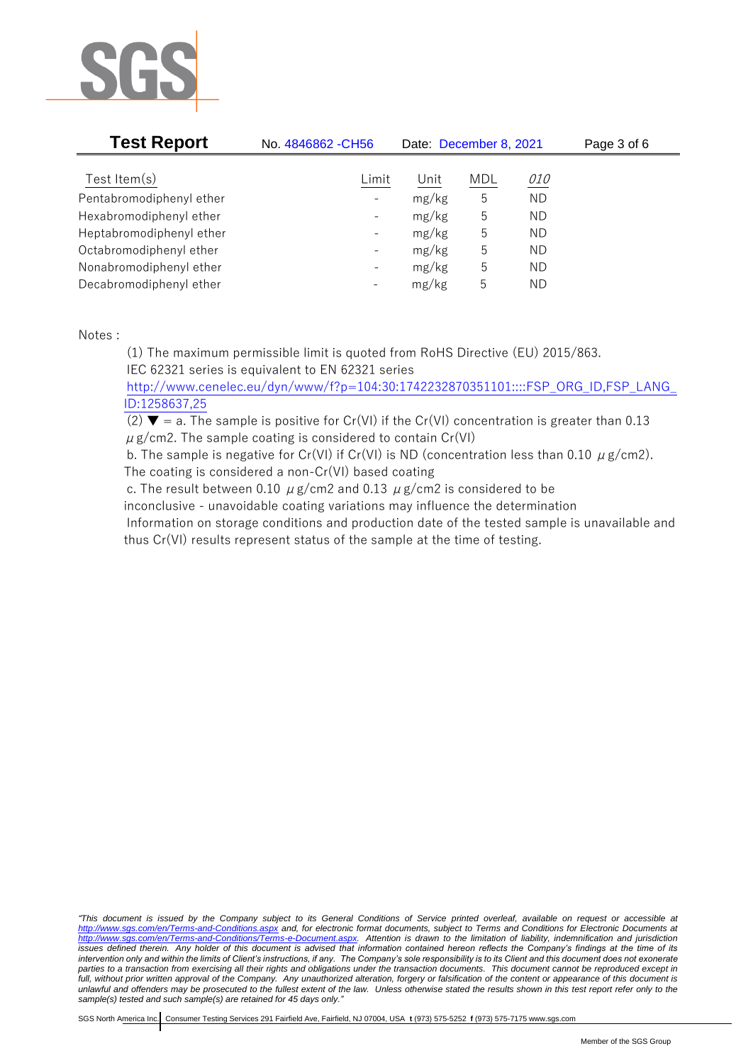

| <b>Test Report</b>       | No. 4846862 - CH56       | Date: December 8, 2021 |            |            | Page 3 of 6 |
|--------------------------|--------------------------|------------------------|------------|------------|-------------|
| Test Item $(s)$          | Limit                    | Unit                   | <b>MDL</b> | <i>010</i> |             |
| Pentabromodiphenyl ether | $\overline{\phantom{0}}$ | mg/kg                  | 5          | <b>ND</b>  |             |
| Hexabromodiphenyl ether  | $\qquad \qquad -$        | mg/kg                  | 5          | ND         |             |
| Heptabromodiphenyl ether | $\qquad \qquad -$        | mg/kg                  | 5          | ND         |             |
| Octabromodiphenyl ether  | $\overline{\phantom{0}}$ | mg/kg                  | 5          | ΝD         |             |
| Nonabromodiphenyl ether  | $\overline{\phantom{0}}$ | mg/kg                  | 5          | ND         |             |
| Decabromodiphenyl ether  | $\overline{\phantom{m}}$ | mg/kg                  | 5          | ND         |             |

Notes :

(1) The maximum permissible limit is quoted from RoHS Directive (EU) 2015/863. IEC 62321 series is equivalent to EN 62321 series

[http://www.cenelec.eu/dyn/www/f?p=104:30:1742232870351101::::FSP\\_ORG\\_ID,FSP\\_LANG\\_](http://www.cenelec.eu/dyn/www/f?p=104:30:1742232870351101::::FSP_ORG_ID,FSP_LANG_ID:1258637,25) [ID:1258637,25](http://www.cenelec.eu/dyn/www/f?p=104:30:1742232870351101::::FSP_ORG_ID,FSP_LANG_ID:1258637,25)

(2)  $\blacktriangledown$  = a. The sample is positive for Cr(VI) if the Cr(VI) concentration is greater than 0.13  $\mu$  g/cm2. The sample coating is considered to contain Cr(VI)

b. The sample is negative for Cr(VI) if Cr(VI) is ND (concentration less than 0.10  $\mu$  g/cm2). The coating is considered a non-Cr(VI) based coating

c. The result between 0.10  $\mu$  g/cm2 and 0.13  $\mu$  g/cm2 is considered to be inconclusive - unavoidable coating variations may influence the determination Information on storage conditions and production date of the tested sample is unavailable and thus Cr(VI) results represent status of the sample at the time of testing.

*"This document is issued by the Company subject to its General Conditions of Service printed overleaf, available on request or accessible at <http://www.sgs.com/en/Terms-and-Conditions.aspx> and, for electronic format documents, subject to Terms and Conditions for Electronic Documents at [http://www.sgs.com/en/Terms-and-Conditions/Terms-e-Document.aspx.](http://www.sgs.com/en/Terms-and-Conditions/Terms-e-Document.aspx) Attention is drawn to the limitation of liability, indemnification and jurisdiction issues defined therein. Any holder of this document is advised that information contained hereon reflects the Company's findings at the time of its intervention only and within the limits of Client's instructions, if any. The Company's sole responsibility is to its Client and this document does not exonerate parties to a transaction from exercising all their rights and obligations under the transaction documents. This document cannot be reproduced except in*  full, without prior written approval of the Company. Any unauthorized alteration, forgery or falsification of the content or appearance of this document is *unlawful and offenders may be prosecuted to the fullest extent of the law. Unless otherwise stated the results shown in this test report refer only to the sample(s) tested and such sample(s) are retained for 45 days only."*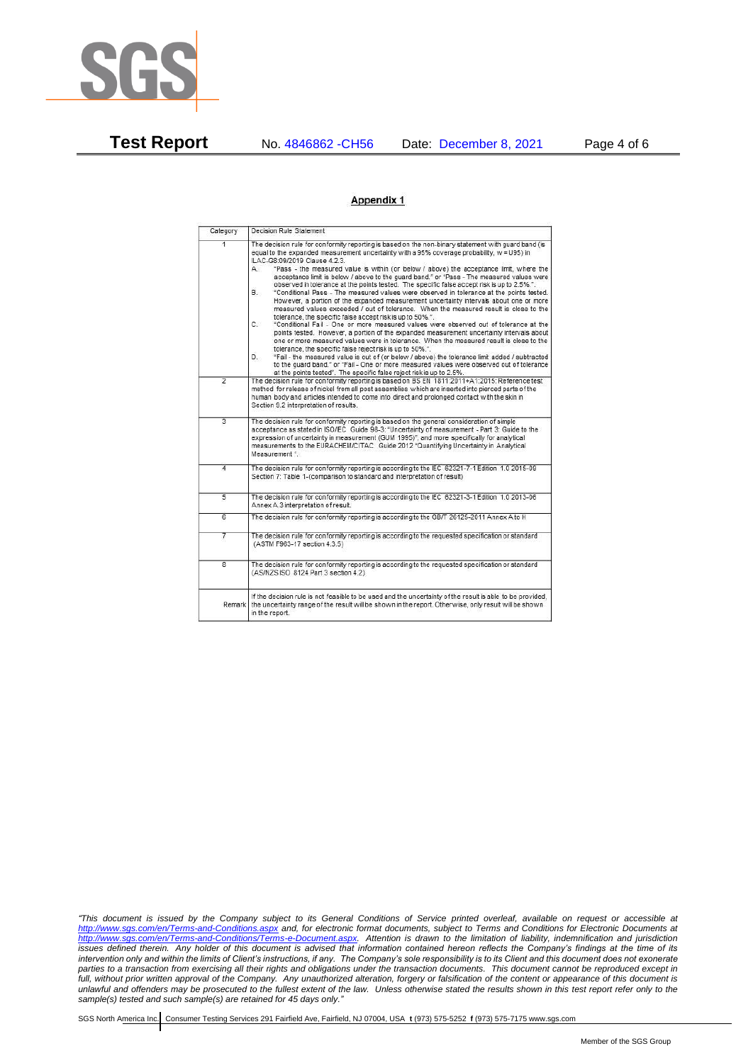

**Test Report** No. 4846862 -CH56 Date: December 8, 2021 Page 4 of 6

## Appendix 1

| Category       | Decision Rule Statement                                                                                                                                                                                                                                                                                                                                                                                                                                                                                                                                                                                                                                                                                                                                                                                                                                                                                                                                                                                                                                                                                                                                                                                                                                                                                                                                                                                                                                                                                            |
|----------------|--------------------------------------------------------------------------------------------------------------------------------------------------------------------------------------------------------------------------------------------------------------------------------------------------------------------------------------------------------------------------------------------------------------------------------------------------------------------------------------------------------------------------------------------------------------------------------------------------------------------------------------------------------------------------------------------------------------------------------------------------------------------------------------------------------------------------------------------------------------------------------------------------------------------------------------------------------------------------------------------------------------------------------------------------------------------------------------------------------------------------------------------------------------------------------------------------------------------------------------------------------------------------------------------------------------------------------------------------------------------------------------------------------------------------------------------------------------------------------------------------------------------|
| $\overline{1}$ | The decision rule for conformity reporting is based on the non-binary statement with quard band (is<br>equal to the expanded measurement uncertainty with a 95% coverage probability, w = U95) in<br>ILAC-G8:09/2019 Clause 4.2.3.<br>"Pass - the measured value is within (or below / above) the acceptance limit, where the<br>А.<br>acceptance limit is below / above to the quard band." or "Pass - The measured values were<br>observed in tolerance at the points tested. The specific false accept risk is up to 2.5%.".<br>"Conditional Pass - The measured values were observed in tolerance at the points tested.<br>В.<br>However, a portion of the expanded measurement uncertainty intervals about one or more<br>measured values exceeded / out of tolerance. When the measured result is close to the<br>tolerance, the specific false accept risk is up to 50%.".<br>C.<br>"Conditional Fail - One or more measured values were observed out of tolerance at the<br>points tested. However, a portion of the expanded measurement uncertainty intervals about<br>one or more measured values were in tolerance. When the measured result is close to the<br>tolerance, the specific false reject risk is up to 50%.".<br>"Fail - the measured value is out of (or below / above) the tolerance limit added / subtracted<br>D.<br>to the quard band." or "Fail - One or more measured values were observed out of tolerance<br>at the points tested". The specific false reject risk is up to 2.5%. |
| $\overline{2}$ | The decision rule for conformity reporting is based on BS EN 1811:2011+A1:2015: Reference test<br>method for release of nickel from all post assemblies which are inserted into pierced parts of the<br>human body and articles intended to come into direct and prolonged contact with the skin in<br>Section 9.2 interpretation of results.                                                                                                                                                                                                                                                                                                                                                                                                                                                                                                                                                                                                                                                                                                                                                                                                                                                                                                                                                                                                                                                                                                                                                                      |
| $\overline{3}$ | The decision rule for conformity reporting is based on the general consideration of simple<br>acceptance as stated in ISO/IEC Guide 98-3: "Uncertainty of measurement - Part 3: Guide to the<br>expression of uncertainty in measurement (GUM 1995)", and more specifically for analytical<br>measurements to the EURACHEM/CITAC Guide 2012 "Quantifying Uncertainty in Analytical<br>Measurement *                                                                                                                                                                                                                                                                                                                                                                                                                                                                                                                                                                                                                                                                                                                                                                                                                                                                                                                                                                                                                                                                                                                |
| 4              | The decision rule for conformity reporting is according to the IEC 62321-7-1 Edition 1.0 2015-09<br>Section 7: Table 1-(comparison to standard and interpretation of result)                                                                                                                                                                                                                                                                                                                                                                                                                                                                                                                                                                                                                                                                                                                                                                                                                                                                                                                                                                                                                                                                                                                                                                                                                                                                                                                                       |
| $\overline{5}$ | The decision rule for conformity reporting is according to the IEC 62321-3-1 Edition 1.0 2013-06<br>Annex A.3 interpretation of result.                                                                                                                                                                                                                                                                                                                                                                                                                                                                                                                                                                                                                                                                                                                                                                                                                                                                                                                                                                                                                                                                                                                                                                                                                                                                                                                                                                            |
| $\overline{6}$ | The decision rule for conformity reporting is according to the GB/T 26125-2011 Annex A to H                                                                                                                                                                                                                                                                                                                                                                                                                                                                                                                                                                                                                                                                                                                                                                                                                                                                                                                                                                                                                                                                                                                                                                                                                                                                                                                                                                                                                        |
| 7              | The decision rule for conformity reporting is according to the requested specification or standard<br>(ASTM F963-17 section 4.3.5)                                                                                                                                                                                                                                                                                                                                                                                                                                                                                                                                                                                                                                                                                                                                                                                                                                                                                                                                                                                                                                                                                                                                                                                                                                                                                                                                                                                 |
| $\overline{8}$ | The decision rule for conformity reporting is according to the requested specification or standard<br>(AS/NZS ISO 8124 Part 3 section 4.2)                                                                                                                                                                                                                                                                                                                                                                                                                                                                                                                                                                                                                                                                                                                                                                                                                                                                                                                                                                                                                                                                                                                                                                                                                                                                                                                                                                         |
| Remark         | If the decision rule is not feasible to be used and the uncertainty of the result is able to be provided.<br>the uncertainty range of the result will be shown in the report. Otherwise, only result will be shown<br>in the report.                                                                                                                                                                                                                                                                                                                                                                                                                                                                                                                                                                                                                                                                                                                                                                                                                                                                                                                                                                                                                                                                                                                                                                                                                                                                               |

*"This document is issued by the Company subject to its General Conditions of Service printed overleaf, available on request or accessible at <http://www.sgs.com/en/Terms-and-Conditions.aspx> and, for electronic format documents, subject to Terms and Conditions for Electronic Documents at [http://www.sgs.com/en/Terms-and-Conditions/Terms-e-Document.aspx.](http://www.sgs.com/en/Terms-and-Conditions/Terms-e-Document.aspx) Attention is drawn to the limitation of liability, indemnification and jurisdiction issues defined therein. Any holder of this document is advised that information contained hereon reflects the Company's findings at the time of its intervention only and within the limits of Client's instructions, if any. The Company's sole responsibility is to its Client and this document does not exonerate parties to a transaction from exercising all their rights and obligations under the transaction documents. This document cannot be reproduced except in*  full, without prior written approval of the Company. Any unauthorized alteration, forgery or falsification of the content or appearance of this document is *unlawful and offenders may be prosecuted to the fullest extent of the law. Unless otherwise stated the results shown in this test report refer only to the sample(s) tested and such sample(s) are retained for 45 days only."*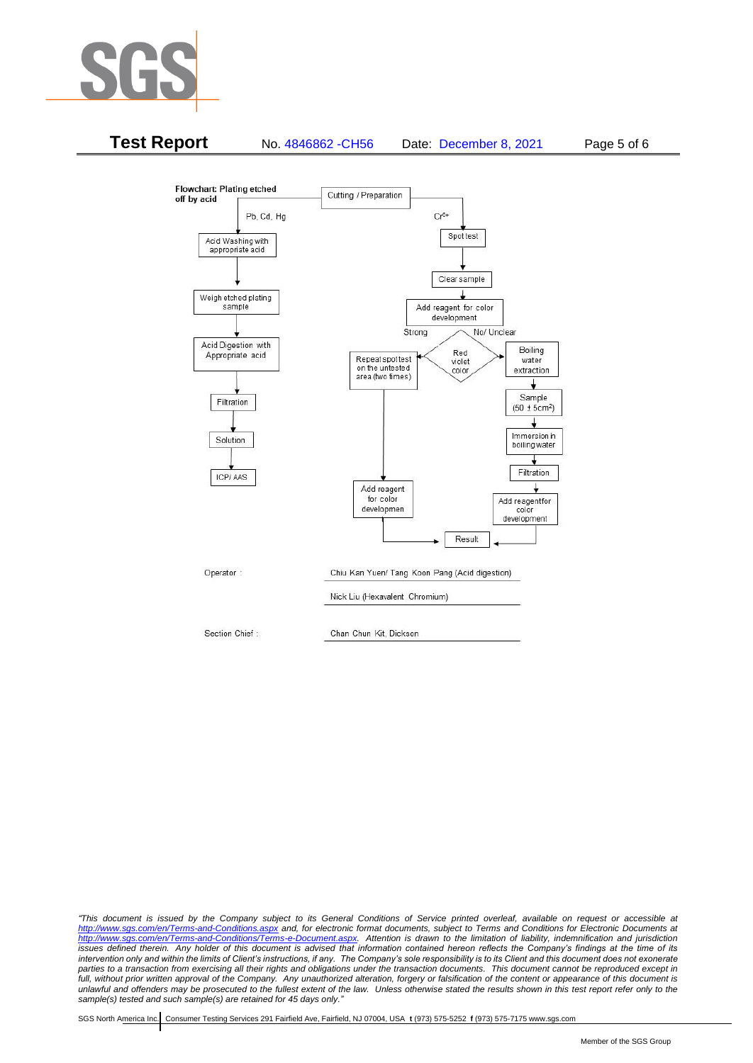



*"This document is issued by the Company subject to its General Conditions of Service printed overleaf, available on request or accessible at <http://www.sgs.com/en/Terms-and-Conditions.aspx> and, for electronic format documents, subject to Terms and Conditions for Electronic Documents at [http://www.sgs.com/en/Terms-and-Conditions/Terms-e-Document.aspx.](http://www.sgs.com/en/Terms-and-Conditions/Terms-e-Document.aspx) Attention is drawn to the limitation of liability, indemnification and jurisdiction issues defined therein. Any holder of this document is advised that information contained hereon reflects the Company's findings at the time of its intervention only and within the limits of Client's instructions, if any. The Company's sole responsibility is to its Client and this document does not exonerate*  parties to a transaction from exercising all their rights and obligations under the transaction documents. This document cannot be reproduced except in full, without prior written approval of the Company. Any unauthorized alteration, forgery or falsification of the content or appearance of this document is *unlawful and offenders may be prosecuted to the fullest extent of the law. Unless otherwise stated the results shown in this test report refer only to the sample(s) tested and such sample(s) are retained for 45 days only."*